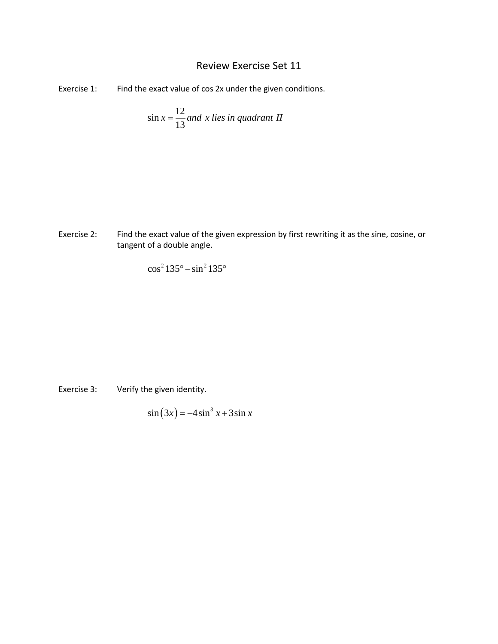## Review Exercise Set 11

Exercise 1: Find the exact value of cos 2x under the given conditions.

$$
\sin x = \frac{12}{13} \text{ and } x \text{ lies in quadrant II}
$$

Exercise 2: Find the exact value of the given expression by first rewriting it as the sine, cosine, or tangent of a double angle.

$$
\cos^2 135^\circ - \sin^2 135^\circ
$$

Exercise 3: Verify the given identity.

$$
\sin(3x) = -4\sin^3 x + 3\sin x
$$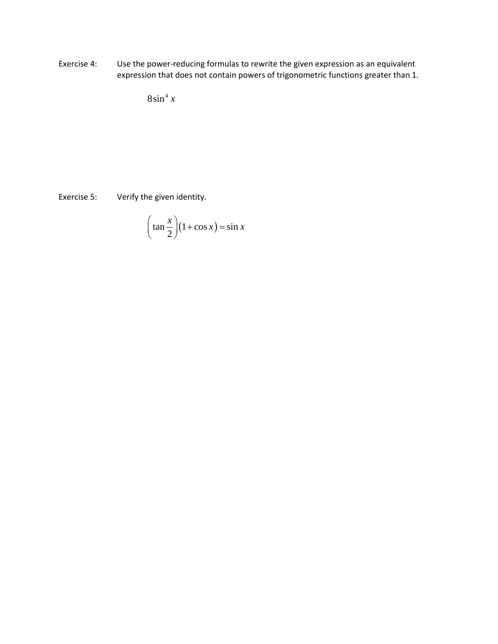Exercise 4: Use the power-reducing formulas to rewrite the given expression as an equivalent expression that does not contain powers of trigonometric functions greater than 1.

 $8\sin^4 x$ 

Exercise 5: Verify the given identity.

$$
\left(\tan\frac{x}{2}\right)(1+\cos x) = \sin x
$$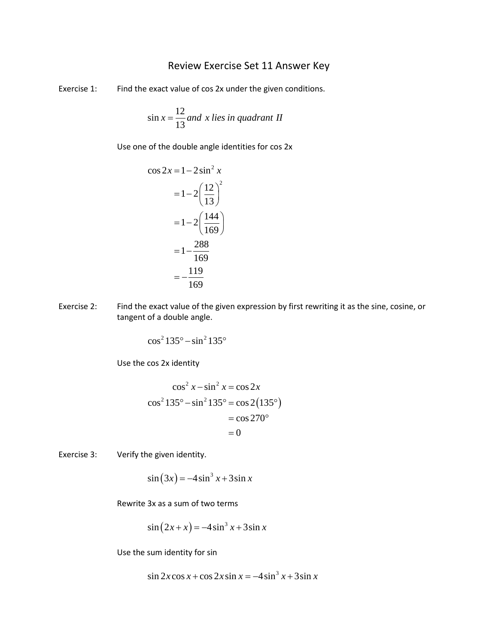## Review Exercise Set 11 Answer Key

Exercise 1: Find the exact value of cos 2x under the given conditions.

$$
\sin x = \frac{12}{13} \text{ and } x \text{ lies in quadrant II}
$$

Use one of the double angle identities for cos 2x

$$
\cos 2x = 1 - 2\sin^2 x
$$
  
=  $1 - 2\left(\frac{12}{13}\right)^2$   
=  $1 - 2\left(\frac{144}{169}\right)$   
=  $1 - \frac{288}{169}$   
=  $-\frac{119}{169}$ 

Exercise 2: Find the exact value of the given expression by first rewriting it as the sine, cosine, or tangent of a double angle.

$$
\cos^2 135^\circ - \sin^2 135^\circ
$$

Use the cos 2x identity

$$
\cos^2 x - \sin^2 x = \cos 2x
$$
  

$$
\cos^2 135^\circ - \sin^2 135^\circ = \cos 2(135^\circ)
$$
  

$$
= \cos 270^\circ
$$
  

$$
= 0
$$

Exercise 3: Verify the given identity.

$$
\sin(3x) = -4\sin^3 x + 3\sin x
$$

Rewrite 3x as a sum of two terms

$$
\sin(2x + x) = -4\sin^3 x + 3\sin x
$$

Use the sum identity for sin

$$
\sin 2x \cos x + \cos 2x \sin x = -4 \sin^3 x + 3 \sin x
$$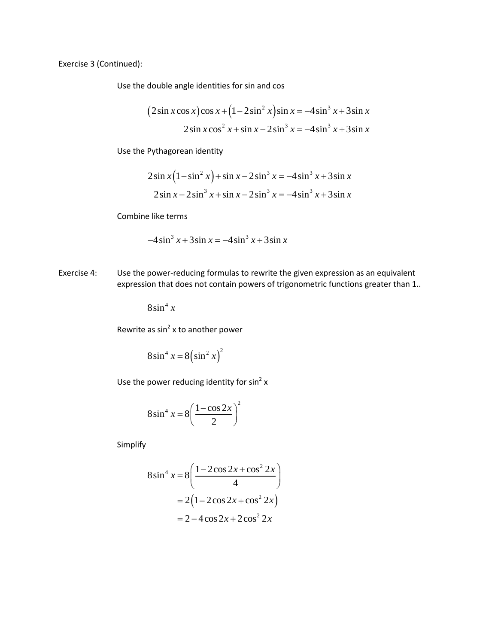Exercise 3 (Continued):

Use the double angle identities for sin and cos

$$
(2\sin x \cos x)\cos x + (1 - 2\sin^2 x)\sin x = -4\sin^3 x + 3\sin x
$$
  

$$
2\sin x \cos^2 x + \sin x - 2\sin^3 x = -4\sin^3 x + 3\sin x
$$

Use the Pythagorean identity

$$
2\sin x (1 - \sin^2 x) + \sin x - 2\sin^3 x = -4\sin^3 x + 3\sin x
$$
  

$$
2\sin x - 2\sin^3 x + \sin x - 2\sin^3 x = -4\sin^3 x + 3\sin x
$$

Combine like terms

$$
-4\sin^3 x + 3\sin x = -4\sin^3 x + 3\sin x
$$

Exercise 4: Use the power-reducing formulas to rewrite the given expression as an equivalent expression that does not contain powers of trigonometric functions greater than 1..

 $8\sin^4 x$ 

Rewrite as  $sin^2 x$  to another power

$$
8\sin^4 x = 8\left(\sin^2 x\right)^2
$$

Use the power reducing identity for  $sin^2 x$ 

$$
8\sin^4 x = 8\left(\frac{1-\cos 2x}{2}\right)^2
$$

Simplify

$$
8\sin^4 x = 8\left(\frac{1 - 2\cos 2x + \cos^2 2x}{4}\right)
$$

$$
= 2\left(1 - 2\cos 2x + \cos^2 2x\right)
$$

$$
= 2 - 4\cos 2x + 2\cos^2 2x
$$